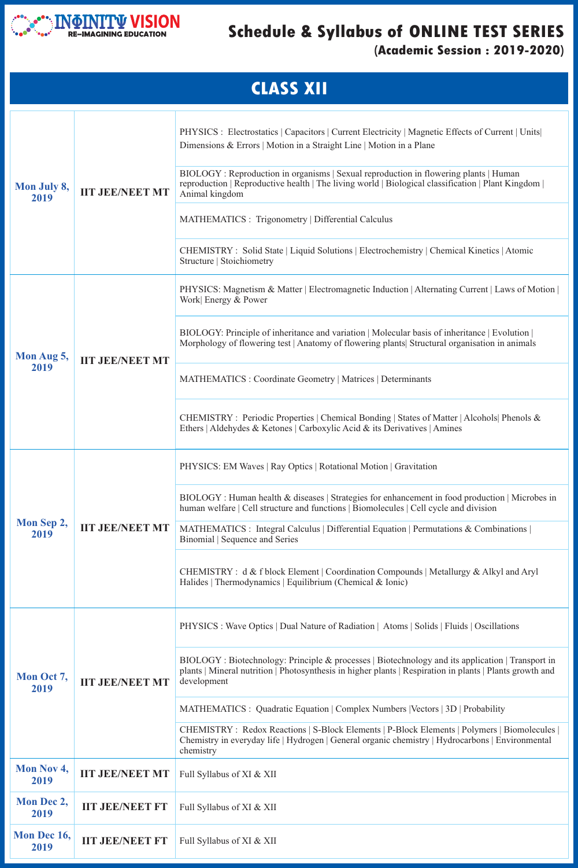

## **Schedule & Syllabus of ONLINE TEST SERIES (Academic Session : 2019-2020)**

| <b>IIT JEE/NEET MT</b> | PHYSICS : Wave Optics   Dual Nature of Radiation   Atoms   Solids   Fluids   Oscillations                                                                                                                                   |  |  |  |  |
|------------------------|-----------------------------------------------------------------------------------------------------------------------------------------------------------------------------------------------------------------------------|--|--|--|--|
|                        | BIOLOGY: Biotechnology: Principle & processes   Biotechnology and its application   Transport in<br>plants   Mineral nutrition   Photosynthesis in higher plants   Respiration in plants   Plants growth and<br>development |  |  |  |  |
|                        | MATHEMATICS : Quadratic Equation   Complex Numbers   Vectors   3D   Probability                                                                                                                                             |  |  |  |  |
|                        | CHEMISTRY: Redox Reactions   S-Block Elements   P-Block Elements   Polymers   Biomolecules  <br>Chemistry in everyday life   Hydrogen   General organic chemistry   Hydrocarbons   Environmental<br>chemistry               |  |  |  |  |
| <b>IIT JEE/NEET MT</b> | Full Syllabus of XI & XII                                                                                                                                                                                                   |  |  |  |  |
| <b>IIT JEE/NEET FT</b> | Full Syllabus of XI & XII                                                                                                                                                                                                   |  |  |  |  |
| <b>IIT JEE/NEET FT</b> | Full Syllabus of XI & XII                                                                                                                                                                                                   |  |  |  |  |
|                        |                                                                                                                                                                                                                             |  |  |  |  |

| <b>CLASS XII</b>    |                        |                                                                                                                                                                                                               |  |  |
|---------------------|------------------------|---------------------------------------------------------------------------------------------------------------------------------------------------------------------------------------------------------------|--|--|
| Mon July 8,<br>2019 | <b>IIT JEE/NEET MT</b> | PHYSICS : Electrostatics   Capacitors   Current Electricity   Magnetic Effects of Current   Units  <br>Dimensions & Errors   Motion in a Straight Line   Motion in a Plane                                    |  |  |
|                     |                        | BIOLOGY: Reproduction in organisms   Sexual reproduction in flowering plants   Human<br>reproduction   Reproductive health   The living world   Biological classification   Plant Kingdom  <br>Animal kingdom |  |  |
|                     |                        | MATHEMATICS : Trigonometry   Differential Calculus                                                                                                                                                            |  |  |
|                     |                        | CHEMISTRY: Solid State   Liquid Solutions   Electrochemistry   Chemical Kinetics   Atomic<br>Structure   Stoichiometry                                                                                        |  |  |
| Mon Aug 5,<br>2019  | <b>IIT JEE/NEET MT</b> | PHYSICS: Magnetism & Matter   Electromagnetic Induction   Alternating Current   Laws of Motion  <br>Work Energy & Power                                                                                       |  |  |
|                     |                        | BIOLOGY: Principle of inheritance and variation   Molecular basis of inheritance   Evolution  <br>Morphology of flowering test   Anatomy of flowering plants  Structural organisation in animals              |  |  |
|                     |                        | MATHEMATICS : Coordinate Geometry   Matrices   Determinants                                                                                                                                                   |  |  |
|                     |                        | CHEMISTRY: Periodic Properties   Chemical Bonding   States of Matter   Alcohols   Phenols &<br>Ethers   Aldehydes & Ketones   Carboxylic Acid & its Derivatives   Amines                                      |  |  |
| Mon Sep 2,<br>2019  | <b>IIT JEE/NEET MT</b> | PHYSICS: EM Waves   Ray Optics   Rotational Motion   Gravitation                                                                                                                                              |  |  |
|                     |                        | BIOLOGY: Human health & diseases   Strategies for enhancement in food production   Microbes in<br>human welfare   Cell structure and functions   Biomolecules   Cell cycle and division                       |  |  |
|                     |                        | MATHEMATICS : Integral Calculus   Differential Equation   Permutations & Combinations  <br>Binomial   Sequence and Series                                                                                     |  |  |
|                     |                        | CHEMISTRY : d & f block Element   Coordination Compounds   Metallurgy & Alkyl and Aryl<br>Halides   Thermodynamics   Equilibrium (Chemical & Ionic)                                                           |  |  |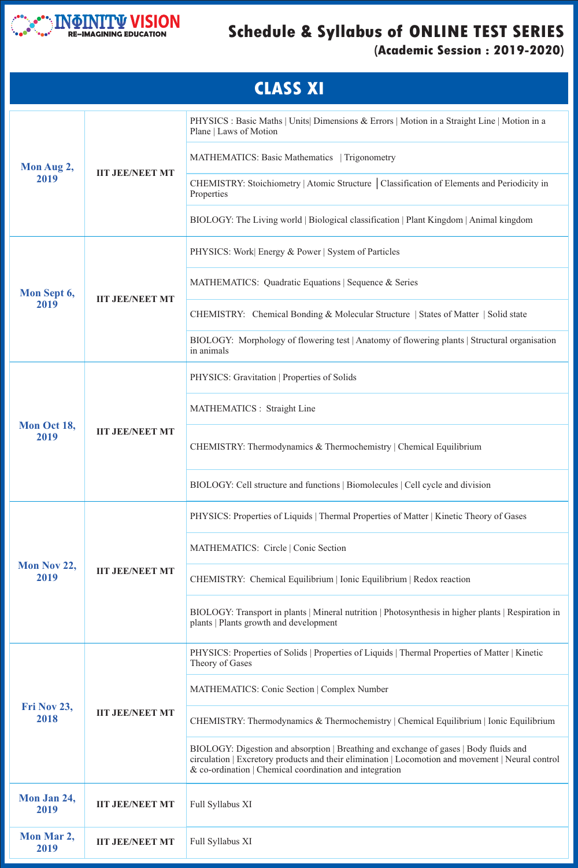

## **Schedule & Syllabus of ONLINE TEST SERIES**

## **(Academic Session : 2019-2020)**

|                     |                        | BIOLOGY: Transport in plants   Mineral nutrition   Photosynthesis in higher plants   Respiration in<br>plants   Plants growth and development                                                                                                            |  |  |  |  |
|---------------------|------------------------|----------------------------------------------------------------------------------------------------------------------------------------------------------------------------------------------------------------------------------------------------------|--|--|--|--|
| Fri Nov 23,<br>2018 | <b>IIT JEE/NEET MT</b> | PHYSICS: Properties of Solids   Properties of Liquids   Thermal Properties of Matter   Kinetic<br>Theory of Gases                                                                                                                                        |  |  |  |  |
|                     |                        | <b>MATHEMATICS: Conic Section   Complex Number</b>                                                                                                                                                                                                       |  |  |  |  |
|                     |                        | CHEMISTRY: Thermodynamics & Thermochemistry   Chemical Equilibrium   Ionic Equilibrium                                                                                                                                                                   |  |  |  |  |
|                     |                        | BIOLOGY: Digestion and absorption   Breathing and exchange of gases   Body fluids and<br>circulation   Excretory products and their elimination   Locomotion and movement   Neural control<br>$\&$ co-ordination   Chemical coordination and integration |  |  |  |  |
| Mon Jan 24,<br>2019 | <b>IIT JEE/NEET MT</b> | <b>Full Syllabus XI</b>                                                                                                                                                                                                                                  |  |  |  |  |
| Mon Mar 2,<br>2019  | <b>IIT JEE/NEET MT</b> | <b>Full Syllabus XI</b>                                                                                                                                                                                                                                  |  |  |  |  |

|                     |                        | <b>CLASS XI</b>                                                                                                         |  |
|---------------------|------------------------|-------------------------------------------------------------------------------------------------------------------------|--|
| Mon Aug 2,<br>2019  | <b>IIT JEE/NEET MT</b> | PHYSICS : Basic Maths   Units   Dimensions & Errors   Motion in a Straight Line   Motion in a<br>Plane   Laws of Motion |  |
|                     |                        | MATHEMATICS: Basic Mathematics   Trigonometry                                                                           |  |
|                     |                        | CHEMISTRY: Stoichiometry   Atomic Structure   Classification of Elements and Periodicity in<br>Properties               |  |
|                     |                        | BIOLOGY: The Living world   Biological classification   Plant Kingdom   Animal kingdom                                  |  |
| Mon Sept 6,<br>2019 | <b>IIT JEE/NEET MT</b> | PHYSICS: Work Energy & Power   System of Particles                                                                      |  |
|                     |                        | MATHEMATICS: Quadratic Equations   Sequence & Series                                                                    |  |
|                     |                        | CHEMISTRY: Chemical Bonding & Molecular Structure   States of Matter   Solid state                                      |  |
|                     |                        | BIOLOGY: Morphology of flowering test   Anatomy of flowering plants   Structural organisation<br>in animals             |  |
| Mon Oct 18,<br>2019 |                        | PHYSICS: Gravitation   Properties of Solids                                                                             |  |
|                     |                        | <b>MATHEMATICS</b> : Straight Line                                                                                      |  |
|                     | <b>IIT JEE/NEET MT</b> | CHEMISTRY: Thermodynamics & Thermochemistry   Chemical Equilibrium                                                      |  |
|                     |                        | BIOLOGY: Cell structure and functions   Biomolecules   Cell cycle and division                                          |  |
| Mon Nov 22,<br>2019 | <b>IIT JEE/NEET MT</b> | PHYSICS: Properties of Liquids   Thermal Properties of Matter   Kinetic Theory of Gases                                 |  |
|                     |                        | MATHEMATICS: Circle   Conic Section                                                                                     |  |
|                     |                        | CHEMISTRY: Chemical Equilibrium   Ionic Equilibrium   Redox reaction                                                    |  |